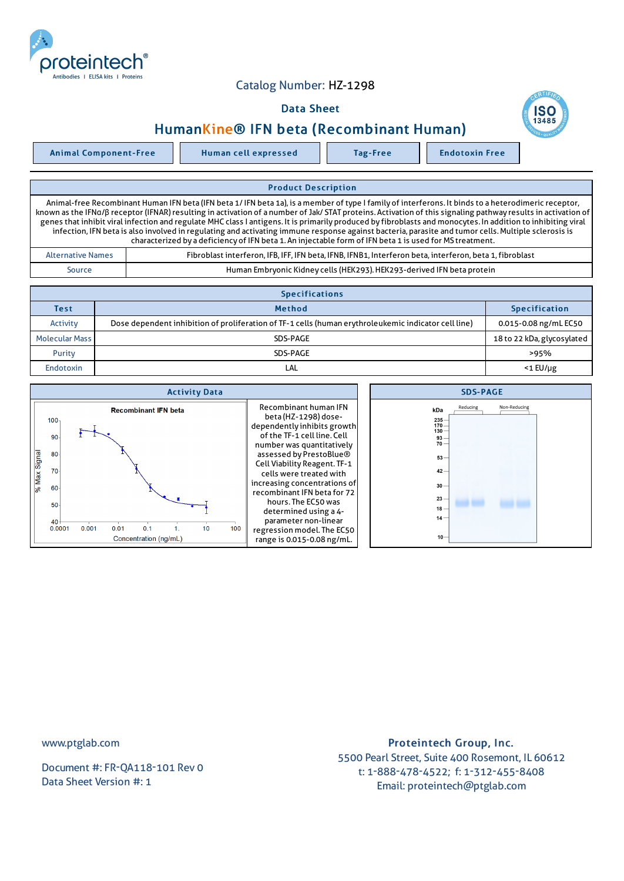

## Catalog Number: HZ-1298

## Data Sheet



Animal Component-Free Human cell expressed Tag-Free Rendotoxin Free

## Product Description

Animal-free Recombinant Human IFN beta (IFN beta 1/IFN beta 1a), is a member of type I family of interferons. It binds to a heterodimeric receptor, known as the IFNα/β receptor (IFNAR) resulting in activation of a number of Jak/ STAT proteins. Activation of this signaling pathway results in activation of genes that inhibit viral infection and regulate MHC class I antigens. It is primarily produced by fibroblasts and monocytes. In addition to inhibiting viral infection, IFN beta is also involved in regulating and activating immune response against bacteria, parasite and tumor cells.Multiple sclerosis is characterized by a deficiency of IFN beta 1. An injectable form of IFN beta 1 is used for MS treatment.

| <b>Alternative Names</b> | Fibroblast interferon, IFB, IFF, IFN beta, IFNB, IFNB1, Interferon beta, interferon, beta 1, fibroblast |  |
|--------------------------|---------------------------------------------------------------------------------------------------------|--|
| Source                   | Human Embryonic Kidney cells (HEK293). HEK293-derived IFN beta protein                                  |  |

| <b>Specifications</b> |                                                                                                      |                            |  |  |
|-----------------------|------------------------------------------------------------------------------------------------------|----------------------------|--|--|
| Test                  | <b>Method</b>                                                                                        | <b>Specification</b>       |  |  |
| Activity              | Dose dependent inhibition of proliferation of TF-1 cells (human erythroleukemic indicator cell line) | 0.015-0.08 ng/mL EC50      |  |  |
| <b>Molecular Mass</b> | SDS-PAGE                                                                                             | 18 to 22 kDa, glycosylated |  |  |
| Purity                | SDS-PAGE                                                                                             | >95%                       |  |  |
| Endotoxin             | LAL                                                                                                  | $<$ 1 $E$ U/µg             |  |  |

| <b>Activity Data</b>                                                                   | <b>SDS-PAGE</b>                                                                                                                                                                                                                                                                                                                               |                                                                                                                                              |
|----------------------------------------------------------------------------------------|-----------------------------------------------------------------------------------------------------------------------------------------------------------------------------------------------------------------------------------------------------------------------------------------------------------------------------------------------|----------------------------------------------------------------------------------------------------------------------------------------------|
| <b>Recombinant IFN beta</b><br>100,<br>90<br>Signal<br>80<br>70<br>$%$ Max<br>60<br>50 | Recombinant human IFN<br>beta (HZ-1298) dose-<br>dependently inhibits growth<br>of the TF-1 cell line. Cell<br>number was quantitatively<br>assessed by PrestoBlue®<br>Cell Viability Reagent. TF-1<br>cells were treated with<br>increasing concentrations of<br>recombinant IFN beta for 72<br>hours. The EC50 was<br>determined using a 4- | Non-Reducing<br>Reducing<br>kDa<br>$235 -$<br>$170 -$<br>$130 -$<br>$93 -$<br>$70 -$<br>$53 -$<br>$42 -$<br>$30 -$<br>23<br>$18 -$<br>$14 -$ |
| $40 -$<br>100<br>10<br>0.001<br>0.0001<br>0.01<br>0.1                                  | parameter non-linear<br>regression model. The EC50                                                                                                                                                                                                                                                                                            |                                                                                                                                              |
| Concentration (ng/mL)                                                                  | range is 0.015-0.08 ng/mL.                                                                                                                                                                                                                                                                                                                    | $10 -$                                                                                                                                       |

www.ptglab.com

Document #: FR-QA118-101 Rev 0 Data Sheet Version #: 1

## Proteintech Group, Inc. 5500 Pearl Street, Suite 400 Rosemont, IL 60612 t: 1-888-478-4522; f: 1-312-455-8408 Email: proteintech@ptglab.com